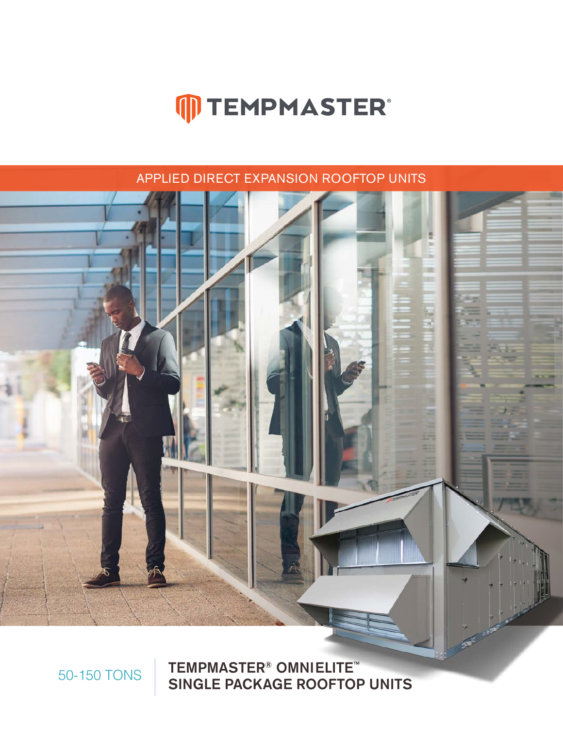### 50-150 TONS TEMPMASTER<sup>®</sup> OMNIELITE<sup>™</sup> SINGLE PACKAGE ROOFTOP UNITS



APPLIED DIRECT EXPANSION ROOFTOP UNITS

# **MTEMPMASTER®**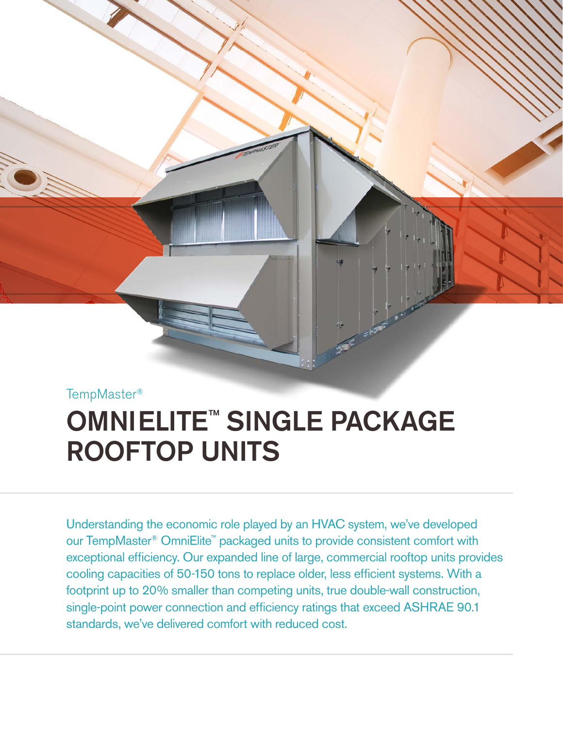TempMaster®

## **OMNIELITE™ SINGLE PACKAGE** ROOFTOP UNITS

Understanding the economic role played by an HVAC system, we've developed our TempMaster® OmniElite™ packaged units to provide consistent comfort with exceptional efficiency. Our expanded line of large, commercial rooftop units provides cooling capacities of 50-150 tons to replace older, less efficient systems. With a footprint up to 20% smaller than competing units, true double-wall construction, single-point power connection and efficiency ratings that exceed ASHRAE 90.1 standards, we've delivered comfort with reduced cost.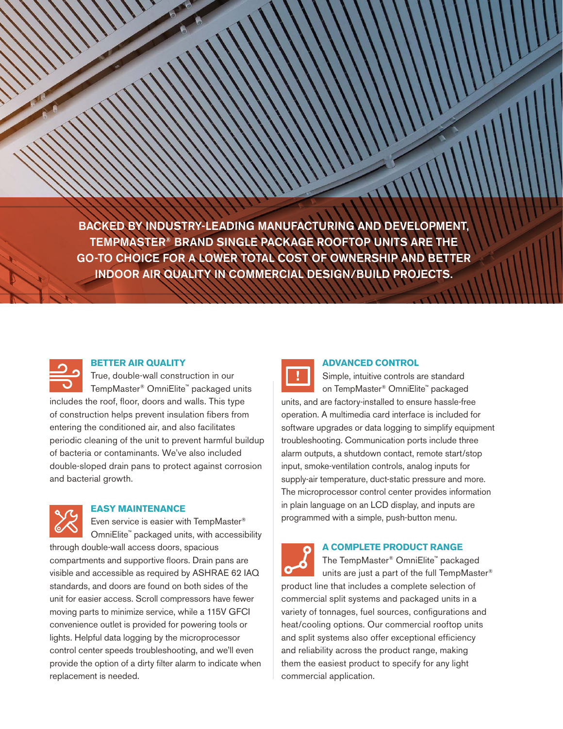BACKED BY INDUSTRY-LEADING MANUFACTURING AND DEVELOPMENT, TEMPMASTER® BRAND SINGLE PACKAGE ROOFTOP UNITS ARE THE GO-TO CHOICE FOR A LOWER TOTAL COST OF OWNERSHIP AND BETTER INDOOR AIR QUALITY IN COMMERCIAL DESIGN/BUILD PROJECTS.



#### **BETTER AIR QUALITY**

True, double-wall construction in our TempMaster® OmniElite™ packaged units includes the roof, floor, doors and walls. This type of construction helps prevent insulation fibers from entering the conditioned air, and also facilitates periodic cleaning of the unit to prevent harmful buildup of bacteria or contaminants. We've also included double-sloped drain pans to protect against corrosion and bacterial growth.



#### **EASY MAINTENANCE**

Even service is easier with TempMaster® OmniElite™ packaged units, with accessibility through double-wall access doors, spacious compartments and supportive floors. Drain pans are visible and accessible as required by ASHRAE 62 IAQ standards, and doors are found on both sides of the unit for easier access. Scroll compressors have fewer moving parts to minimize service, while a 115V GFCI convenience outlet is provided for powering tools or lights. Helpful data logging by the microprocessor control center speeds troubleshooting, and we'll even provide the option of a dirty filter alarm to indicate when replacement is needed.



#### **ADVANCED CONTROL**

Simple, intuitive controls are standard on TempMaster® OmniElite™ packaged units, and are factory-installed to ensure hassle-free operation. A multimedia card interface is included for software upgrades or data logging to simplify equipment troubleshooting. Communication ports include three alarm outputs, a shutdown contact, remote start/stop input, smoke-ventilation controls, analog inputs for supply-air temperature, duct-static pressure and more. The microprocessor control center provides information in plain language on an LCD display, and inputs are programmed with a simple, push-button menu.

### **A COMPLETE PRODUCT RANGE**

The TempMaster® OmniElite™ packaged units are just a part of the full TempMaster® product line that includes a complete selection of commercial split systems and packaged units in a variety of tonnages, fuel sources, configurations and heat/cooling options. Our commercial rooftop units and split systems also offer exceptional efficiency and reliability across the product range, making them the easiest product to specify for any light commercial application.